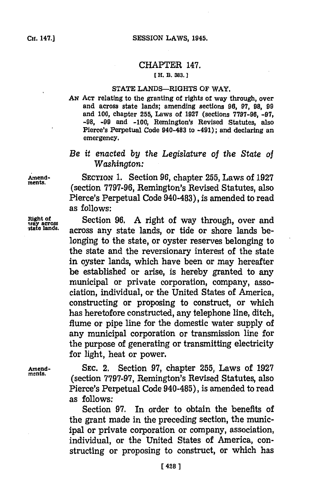### CHAPTER 147.

### **C H. B. 383.]**

#### **STATE** LANDS-RIGHTS OF WAY.

AN ACT relating to the granting of rights of way through, over and across state lands; amending sections **96, 97, 98, 99** and **100,** chapter **255,** Laws of **1927** (sections **7797-96, -97, -98, -99** and **-100,** Remington's Revised Statutes, also Pierce's Perpetual Code 940-483 to -491); and declaring an emergency.

## *Be it enacted by the Legislature of the State oi Washington:*

**Amxend-** SECTION **1.** Section **96,** chapter **255,** Laws of **1927 ments.** (section **7797-96,** Remington's Revised Statutes, also Pierce's Perpetual Code 940-483), is amended to read as follows:

**Right of** Section **96. A** right of way through, over and across any state lands, or tide or shore lands belonging to the state, or oyster reserves belonging to the state and the reversionary interest of the state in oyster lands, which have been or may hereafter be established or arise, is hereby granted to any municipal or private corporation, company, association, individual, or the United States of America, constructing or proposing to construct, or which has heretofore constructed, any telephone line, ditch, flume or pipe line for the domestic water supply of any municipal corporation or transmission line for the purpose of generating or transmitting electricity for light, heat or power.

**Amend- SEC.** 2. Section **97,** chapter **255,** Laws of **1927 ments.** (section **7797-97,** Remington's Revised Statutes, also Pierce's Perpetual Code 940-485), is amended to read as follows:

> Section **97.** In order to obtain the benefits of the grant made in the preceding section, the municipal or private corporation or company, association, individual, or the United States of America, constructing or proposing to construct, or which has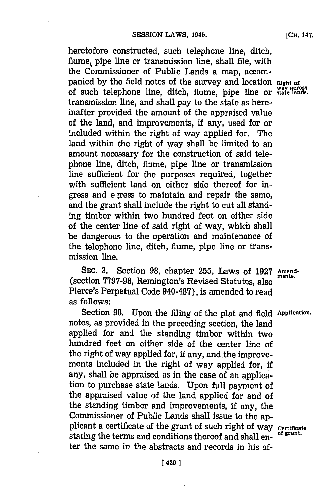heretofore constructed, such telephone line, ditch, flume, pipe line or transmission line, shall file, with the Commissioner of Public Lands a map, accompanied **by** the field notes of the survey and location night **of way across** of such telephone line, ditch, flume, pipe line or **state lands.** transmission line, and shall pay to the state as hereinafter provided the amount of the appraised value of the land, and improvements, if any, used for or included within the right of way applied for. The land within the right of way shall be limited to an amount necessary for the construction of said telephone line, ditch, flume, pipe line or transmission line sufficient for the purposes required, together with sufficient land on either side thereof for ingress and egress to maintain and repair the same, and the grant shall include the right to cut all standing timber within two hundred feet on either side of the center line of said right of way, which shall be dangerous to the operation and maintenance of the telephone line, ditch, flume, pipe line or transmission line.

**SEc. 3.** Section **98,** chapter **255,** Laws of **1927 Amend-** (section 7797-98, Remington's Revised Statutes, also Pierce's Perpetual Code 940-487), is amended to read as follows:

Section **98.** Upon the filing of the plat and field **Application.** notes, as provided in the preceding section, the land applied for and the standing timber within two hundred feet on either side of the center line of the right of way applied for, **if** any, and the improvements included in the right of way applied for, if any, shall be appraised as in the case of an application to purchase state lands. Upon full payment of the appraised value of the land applied for and of the standing timber and improvements, if any, the Commissioner of Public Lands shall issue to the applicant a certificate **of** the grant of such right of way **certificate** stating the terms and conditions thereof and shall enter the same in. the abstracts and records in his of-

**[CH.** 147.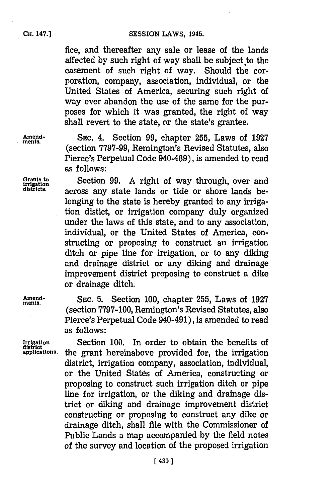**CESSION LAWS, 1945.** 

fice, and thereafter any sale or lease of the lands affected **by** such right of way shall be subject to the easement of such right of way. Should the corporation, company, association, individual, or the United States of America, securing such right of way ever abandon the use of the same for the purposes for which it was granted, the right of way shall revert to the state, or the state's grantee.

**Amend- SEC.** 4. Section **99,** chapter **255,** Laws of **<sup>1927</sup> mients.** (section 7797-99, Remington's Revised Statutes, also Pierce's Perpetual Code 940-489), is amended to read as **follows:**

Grants to Section 99. A right of way through, over and districts. across any state lands or tide or shore lands belonging to the state is hereby granted to any irrigation distict, or irrigation company duly organized under the laws of this state, and to any association, individual, or the United States of America, constructing or proposing to construct an irrigation ditch or pipe line for irrigation, or to any diking and drainage district or any diking and drainage improvement district proposing to construct a dike or drainage ditch.

**Amend- SEC. 5.** Section **100,** chapter **255,** Laws of **1927** (section **7797-100,** Remington's Revised Statutes, also Pierce's Perpetual Code 940-491), is amended to read as follows:

Irrigation Section 100. In order to obtain the benefits of district<br>applications. the grant hereinabove provided for, the irrigation the grant hereinabove provided for, the irrigation district, irrigation company, association, individual, or the United States of America, constructing or proposing to construct such irrigation ditch or pipe line for irrigation, or the diking and drainage district or diking and drainage improvement district constructing or proposing to construct any dike or drainage ditch, shall file with the Commissioner of Public Lands a map accompanied **by** the field notes of the survey and location of the proposed irrigation